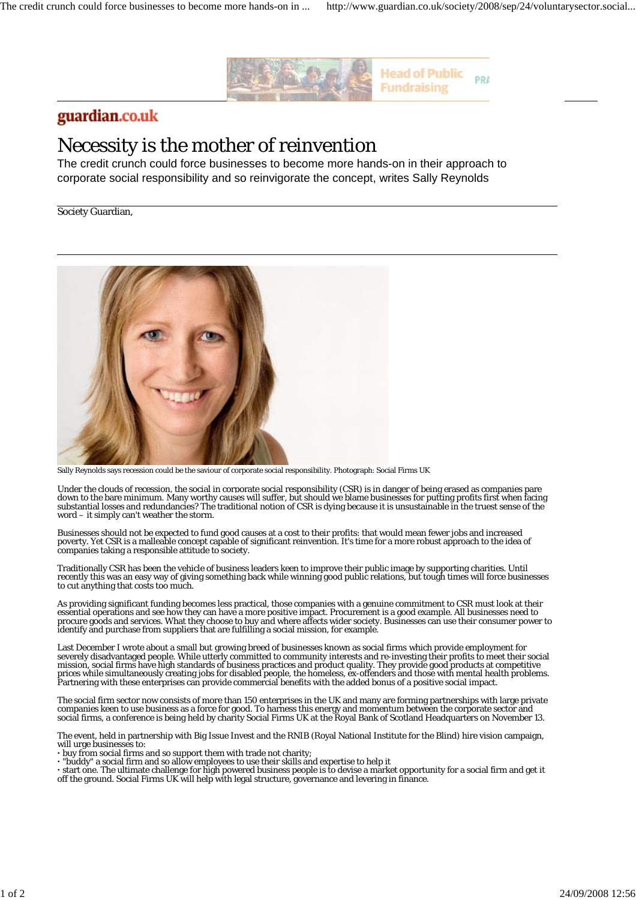

## guardian.co.uk

## Necessity is the mother of reinvention

The credit crunch could force businesses to become more hands-on in their approach to corporate social responsibility and so reinvigorate the concept, writes Sally Reynolds

Society Guardian,



Sally Reynolds says recession could be the saviour of corporate social responsibility. Photograph: Social Firms UK

Under the clouds of recession, the social in corporate social responsibility (CSR) is in danger of being erased as companies pare down to the bare minimum. Many worthy causes will suffer, but should we blame businesses for putting profits first when facing substantial losses and redundancies? The traditional notion of CSR is dying because it is unsustainable in the truest sense of the word – it simply can't weather the storm.

Businesses should not be expected to fund good causes at a cost to their profits: that would mean fewer jobs and increased poverty. Yet CSR is a malleable concept capable of significant reinvention. It's time for a more robust approach to the idea of companies taking a responsible attitude to society.

Traditionally CSR has been the vehicle of business leaders keen to improve their public image by supporting charities. Until recently this was an easy way of giving something back while winning good public relations, but tough times will force businesses to cut anything that costs too much.

As providing significant funding becomes less practical, those companies with a genuine commitment to CSR must look at their essential operations and see how they can have a more positive impact. Procurement is a good example. All businesses need to procure goods and services. What they choose to buy and where affects wider society. Businesses can use their consumer power to identify and purchase from suppliers that are fulfilling a social mission, for example.

Last December I wrote about a small but growing breed of businesses known as social firms which provide employment for severely disadvantaged people. While utterly committed to community interests and re-investing their profits to meet their social mission, social firms have high standards of business practices and product quality. They provide good products at competitive prices while simultaneously creating jobs for disabled people, the homeless, ex-offenders and those with mental health problems.<br>Partnering with these enterprises can provide commercial benefits with the added bonus of a p

The social firm sector now consists of more than 150 enterprises in the UK and many are forming partnerships with large private companies keen to use business as a force for good. To harness this energy and momentum between the corporate sector and social firms, a conference is being held by charity Social Firms UK at the Royal Bank of Scotland Headquarters on November 13.

The event, held in partnership with Big Issue Invest and the RNIB (Royal National Institute for the Blind) hire vision campaign, will urge businesses to:

**·** buy from social firms and so support them with trade not charity;

**·** "buddy" a social firm and so allow employees to use their skills and expertise to help it

**·** start one. The ultimate challenge for high powered business people is to devise a market opportunity for a social firm and get it off the ground. Social Firms UK will help with legal structure, governance and levering in finance.